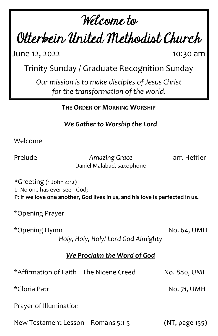# Welcome to

Otterbein United Methodist Church

**June 12, 2022** 10:30 am

Trinity Sunday / Graduate Recognition Sunday

*Our mission is to make disciples of Jesus Christ for the transformation of the world.*

**THE ORDER OF MORNING WORSHIP**

*We Gather to Worship the Lord*

Welcome

Prelude *Amazing Grace* arr. Heffler Daniel Malabad, saxophone

\*Greeting (1 John 4:12) L: No one has ever seen God; **P: if we love one another, God lives in us, and his love is perfected in us.**

\*Opening Prayer

\*Opening Hymn No. 64, UMH

*Holy, Holy, Holy! Lord God Almighty*

#### *We Proclaim the Word of God*

| *Affirmation of Faith The Nicene Creed | No. 880, UMH   |
|----------------------------------------|----------------|
| *Gloria Patri                          | No. 71, UMH    |
| Prayer of Illumination                 |                |
| New Testament Lesson Romans 5:1-5      | (NT, page 155) |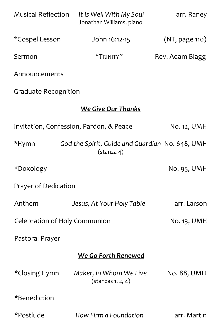| <b>Musical Reflection</b>                                                          | It Is Well With My Soul<br>Jonathan Williams, piano | arr. Raney      |  |
|------------------------------------------------------------------------------------|-----------------------------------------------------|-----------------|--|
| *Gospel Lesson                                                                     | John 16:12-15                                       | (NT, page 110)  |  |
| Sermon                                                                             | "TRINITY"                                           | Rev. Adam Blagg |  |
| Announcements                                                                      |                                                     |                 |  |
| <b>Graduate Recognition</b>                                                        |                                                     |                 |  |
| <b>We Give Our Thanks</b>                                                          |                                                     |                 |  |
| Invitation, Confession, Pardon, & Peace                                            |                                                     | No. 12, UMH     |  |
| *Hymn<br>God the Spirit, Guide and Guardian No. 648, UMH<br>(stanza <sub>4</sub> ) |                                                     |                 |  |
| *Doxology                                                                          |                                                     | No. 95, UMH     |  |
| Prayer of Dedication                                                               |                                                     |                 |  |
| Anthem                                                                             | Jesus, At Your Holy Table                           | arr. Larson     |  |
| Celebration of Holy Communion                                                      | No. 13, UMH                                         |                 |  |
| Pastoral Prayer                                                                    |                                                     |                 |  |
| <b>We Go Forth Renewed</b>                                                         |                                                     |                 |  |
| *Closing Hymn                                                                      | Maker, in Whom We Live<br>$($ stanzas 1, 2, 4 $)$   | No. 88, UMH     |  |
| *Benediction                                                                       |                                                     |                 |  |
| *Postlude                                                                          | How Firm a Foundation                               | arr. Martin     |  |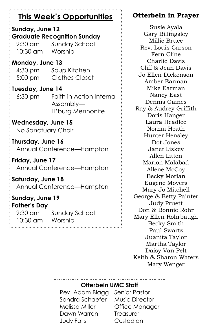## **This Week's Opportunities**

#### **Sunday, June 12 Graduate Recognition Sunday**

9:30 am Sunday School 10:30 am Worship

#### **Monday, June 13**

4:30 pm Soup Kitchen 5:00 pm Clothes Closet

#### **Tuesday, June 14**

6:30 pm Faith in Action Internal Assembly— H'burg Mennonite

#### **Wednesday, June 15**

No Sanctuary Choir

**Thursday, June 16** Annual Conference—Hampton

**Friday, June 17** Annual Conference—Hampton

**Saturday, June 18** Annual Conference—Hampton

#### **Sunday, June 19 Father's Day**

9:30 am Sunday School 10:30 am Worship

### **Otterbein in Prayer**

Susie Ayala Gary Billingsley Millie Bruce Rev. Louis Carson Fern Cline Charlie Davis Cliff & Jean Davis Jo Ellen Dickenson Amber Earman Mike Earman Nancy East Dennis Gaines Ray & Audrey Griffith Doris Hanger Laura Headlee Norma Heath Hunter Hensley Dot Jones Janet Liskey Allen Litten Marion Malabad Allene McCoy Becky Morlan Eugene Moyers Mary Jo Mitchell George & Betty Painter Judy Pruett Don & Bonnie Rohr Mary Ellen Rohrbaugh Becky Smith Paul Swartz Juanita Taylor Martha Taylor Daisy Van Pelt Keith & Sharon Waters Mary Wenger

#### **Otterbein UMC Staff**

Rev. Adam Blagg Senior Pastor Sandra Schaefer Music Director Melissa Miller Office Manager Dawn Warren Treasurer Judy Falls Custodian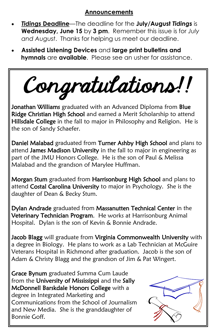#### **Announcements**

- *Tidings* **Deadline**—The deadline for the **July/August** *Tidings* is **Wednesday, June 15** by **3 pm**. Remember this issue is for *July and August*. Thanks for helping us meet our deadline.
- **Assisted Listening Devices** and **large print bulletins and hymnals** are **available**. Please see an usher for assistance.

Congratulations!!

Jonathan Williams graduated with an Advanced Diploma from Blue Ridge Christian High School and earned a Merit Scholarship to attend Hillsdale College in the fall to major in Philosophy and Religion. He is the son of Sandy Schaefer.

Daniel Malabad graduated from Turner Ashby High School and plans to attend James Madison University in the fall to major in engineering as part of the JMU Honors College. He is the son of Paul & Melissa Malabad and the grandson of Marylee Huffman.

Morgan Stum graduated from Harrisonburg High School and plans to attend Costal Carolina University to major in Psychology. She is the daughter of Dean & Becky Stum.

Dylan Andrade graduated from Massanutten Technical Center in the Veterinary Technician Program. He works at Harrisonburg Animal Hospital. Dylan is the son of Kevin & Bonnie Andrade.

Jacob Blagg will graduate from Virginia Commonwealth University with a degree in Biology. He plans to work as a Lab Technician at McGuire Veterans Hospital in Richmond after graduation. Jacob is the son of Adam & Christy Blagg and the grandson of Jim & Pat Wingert.

Grace Bynum graduated Summa Cum Laude from the University of Mississippi and the Sally McDonnell Barskdale Honors College with a degree in Integrated Marketing and Communications from the School of Journalism and New Media. She is the granddaughter of Bonnie Goff.